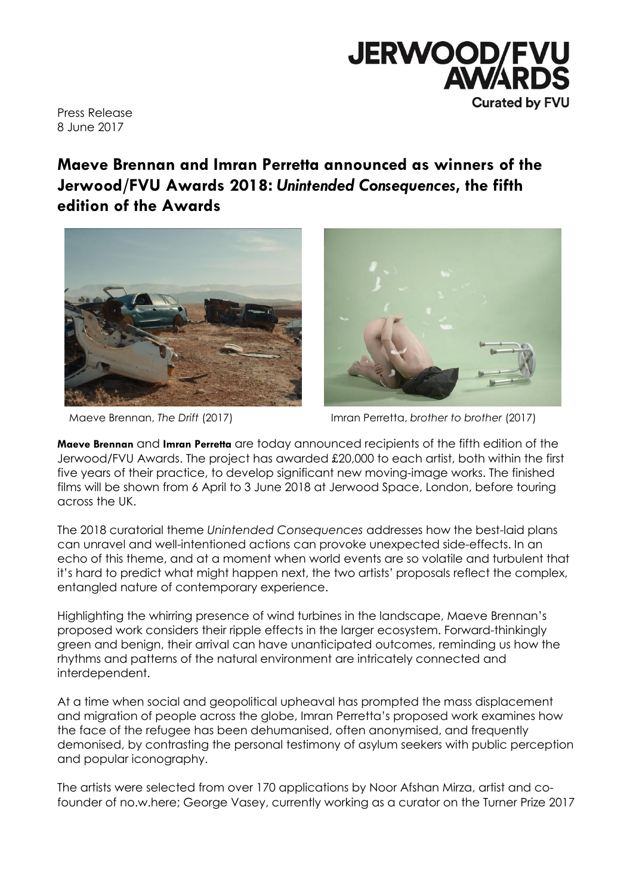

Press Release 8 June 2017

# **Maeve Brennan and Imran Perretta announced as winners of the Jerwood/FVU Awards 2018:** *Unintended Consequences***, the fifth edition of the Awards**





Maeve Brennan, *The Drift* (2017) Imran Perretta, *brother to brother* (2017)

**Maeve Brennan** and **Imran Perretta** are today announced recipients of the fifth edition of the Jerwood/FVU Awards. The project has awarded £20,000 to each artist, both within the first five years of their practice, to develop significant new moving-image works. The finished films will be shown from 6 April to 3 June 2018 at Jerwood Space, London, before touring across the UK.

The 2018 curatorial theme *Unintended Consequences* addresses how the best-laid plans can unravel and well-intentioned actions can provoke unexpected side-effects. In an echo of this theme, and at a moment when world events are so volatile and turbulent that it's hard to predict what might happen next, the two artists' proposals reflect the complex, entangled nature of contemporary experience.

Highlighting the whirring presence of wind turbines in the landscape, Maeve Brennan's proposed work considers their ripple effects in the larger ecosystem. Forward-thinkingly green and benign, their arrival can have unanticipated outcomes, reminding us how the rhythms and patterns of the natural environment are intricately connected and interdependent.

At a time when social and geopolitical upheaval has prompted the mass displacement and migration of people across the globe, Imran Perretta's proposed work examines how the face of the refugee has been dehumanised, often anonymised, and frequently demonised, by contrasting the personal testimony of asylum seekers with public perception and popular iconography.

The artists were selected from over 170 applications by Noor Afshan Mirza, artist and cofounder of no.w.here; George Vasey, currently working as a curator on the Turner Prize 2017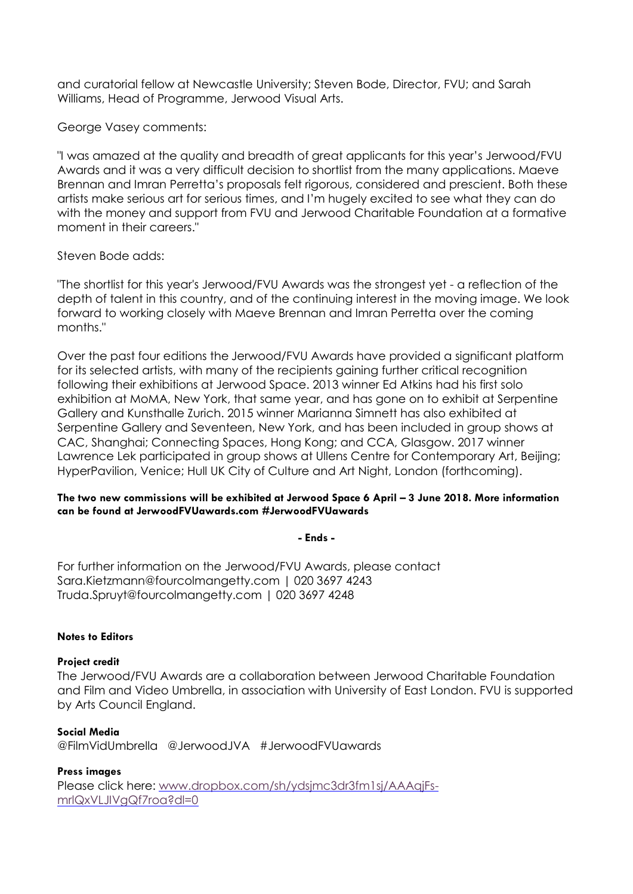and curatorial fellow at Newcastle University; Steven Bode, Director, FVU; and Sarah Williams, Head of Programme, Jerwood Visual Arts.

George Vasey comments:

"I was amazed at the quality and breadth of great applicants for this year's Jerwood/FVU Awards and it was a very difficult decision to shortlist from the many applications. Maeve Brennan and Imran Perretta's proposals felt rigorous, considered and prescient. Both these artists make serious art for serious times, and I'm hugely excited to see what they can do with the money and support from FVU and Jerwood Charitable Foundation at a formative moment in their careers."

# Steven Bode adds:

"The shortlist for this year's Jerwood/FVU Awards was the strongest yet - a reflection of the depth of talent in this country, and of the continuing interest in the moving image. We look forward to working closely with Maeve Brennan and Imran Perretta over the coming months."

Over the past four editions the Jerwood/FVU Awards have provided a significant platform for its selected artists, with many of the recipients gaining further critical recognition following their exhibitions at Jerwood Space. 2013 winner Ed Atkins had his first solo exhibition at MoMA, New York, that same year, and has gone on to exhibit at Serpentine Gallery and Kunsthalle Zurich. 2015 winner Marianna Simnett has also exhibited at Serpentine Gallery and Seventeen, New York, and has been included in group shows at CAC, Shanghai; Connecting Spaces, Hong Kong; and CCA, Glasgow. 2017 winner Lawrence Lek participated in group shows at Ullens Centre for Contemporary Art, Beijing; HyperPavilion, Venice; Hull UK City of Culture and Art Night, London (forthcoming).

## **The two new commissions will be exhibited at Jerwood Space 6 April – 3 June 2018. More information can be found at JerwoodFVUawards.com #JerwoodFVUawards**

**- Ends -**

For further information on the Jerwood/FVU Awards, please contact Sara.Kietzmann@fourcolmangetty.com | 020 3697 4243 Truda.Spruyt@fourcolmangetty.com | 020 3697 4248

## **Notes to Editors**

#### **Project credit**

The Jerwood/FVU Awards are a collaboration between Jerwood Charitable Foundation and Film and Video Umbrella, in association with University of East London. FVU is supported by Arts Council England.

#### **Social Media**

@FilmVidUmbrella @JerwoodJVA #JerwoodFVUawards

**Press images** Please click here: [www.dropbox.com/sh/ydsjmc3dr3fm1sj/AAAqjFs](http://www.dropbox.com/sh/ydsjmc3dr3fm1sj/AAAqjFs-mrlQxVLJIVgQf7roa?dl=0)[mrlQxVLJIVgQf7roa?dl=0](http://www.dropbox.com/sh/ydsjmc3dr3fm1sj/AAAqjFs-mrlQxVLJIVgQf7roa?dl=0)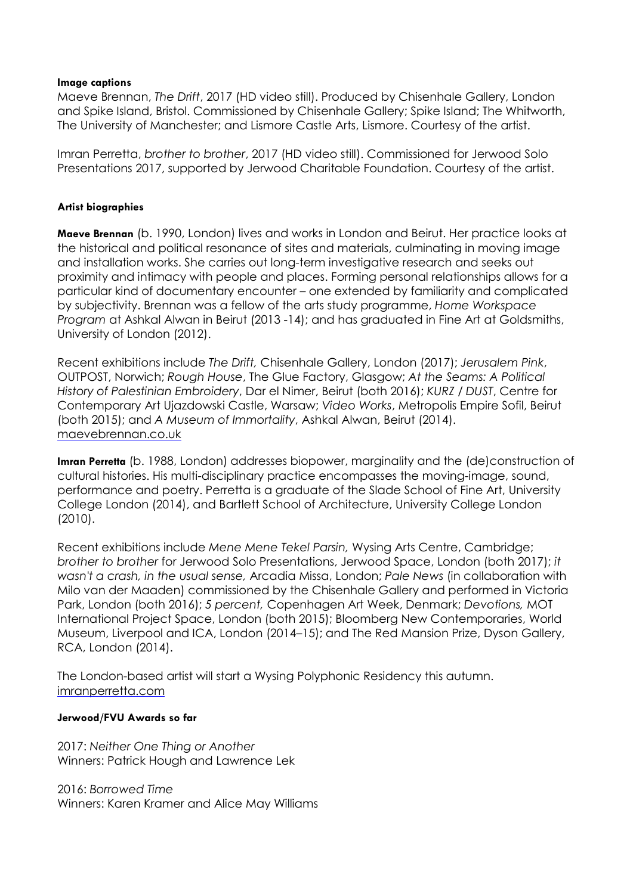## **Image captions**

Maeve Brennan, *The Drift*, 2017 (HD video still). Produced by Chisenhale Gallery, London and Spike Island, Bristol. Commissioned by Chisenhale Gallery; Spike Island; The Whitworth, The University of Manchester; and Lismore Castle Arts, Lismore. Courtesy of the artist.

Imran Perretta, *brother to brother*, 2017 (HD video still). Commissioned for Jerwood Solo Presentations 2017, supported by Jerwood Charitable Foundation. Courtesy of the artist.

## **Artist biographies**

**Maeve Brennan** (b. 1990, London) lives and works in London and Beirut. Her practice looks at the historical and political resonance of sites and materials, culminating in moving image and installation works. She carries out long-term investigative research and seeks out proximity and intimacy with people and places. Forming personal relationships allows for a particular kind of documentary encounter – one extended by familiarity and complicated by subjectivity. Brennan was a fellow of the arts study programme, *Home Workspace Program* at Ashkal Alwan in Beirut (2013 -14); and has graduated in Fine Art at Goldsmiths, University of London (2012).

Recent exhibitions include *The Drift,* Chisenhale Gallery, London (2017); *Jerusalem Pink*, OUTPOST, Norwich; *Rough House*, The Glue Factory, Glasgow; *At the Seams: A Political History of Palestinian Embroidery*, Dar el Nimer, Beirut (both 2016); *KURZ / DUST*, Centre for Contemporary Art Ujazdowski Castle, Warsaw; *Video Works*, Metropolis Empire Sofil, Beirut (both 2015); and *A Museum of Immortality*, Ashkal Alwan, Beirut (2014). [maevebrennan.co.uk](http://maevebrennan.co.uk/)

**Imran Perretta** (b. 1988, London) addresses biopower, marginality and the (de)construction of cultural histories. His multi-disciplinary practice encompasses the moving-image, sound, performance and poetry. Perretta is a graduate of the Slade School of Fine Art, University College London (2014), and Bartlett School of Architecture, University College London (2010).

Recent exhibitions include *Mene Mene Tekel Parsin,* Wysing Arts Centre, Cambridge; *brother to brother* for Jerwood Solo Presentations, Jerwood Space, London (both 2017); *it wasn't a crash, in the usual sense,* Arcadia Missa, London; *Pale News* (in collaboration with Milo van der Maaden) commissioned by the Chisenhale Gallery and performed in Victoria Park, London (both 2016); *5 percent,* Copenhagen Art Week, Denmark; *Devotions,* MOT International Project Space, London (both 2015); Bloomberg New Contemporaries, World Museum, Liverpool and ICA, London (2014–15); and The Red Mansion Prize, Dyson Gallery, RCA, London (2014).

The London-based artist will start a Wysing Polyphonic Residency this autumn. [imranperretta.com](http://imranperretta.com/)

#### **Jerwood/FVU Awards so far**

2017: *Neither One Thing or Another* Winners: Patrick Hough and Lawrence Lek

2016: *Borrowed Time* Winners: Karen Kramer and Alice May Williams